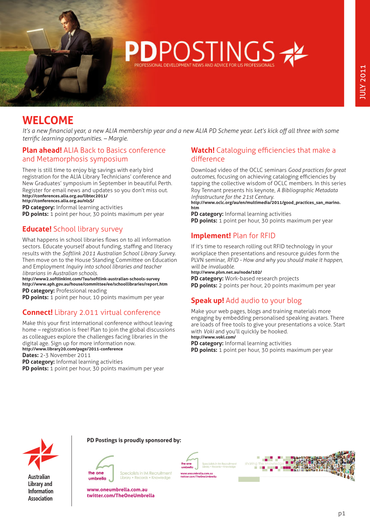

# **WELCOME**

*It's a new financial year, a new ALIA membership year and a new ALIA PD Scheme year. Let's kick off all three with some terrific learning opportunities. – Margie.* 

# **Plan ahead!** ALIA Back to Basics conference and Metamorphosis symposium

There is still time to enjoy big savings with early bird registration for the ALIA Library Technicians' conference and New Graduates' symposium in September in beautiful Perth. Register for email news and updates so you don't miss out. **http://conferences.alia.org.au/libtec2011/ http://conferences.alia.org.au/nls5/** 

**PD category:** Informal learning activities **PD points:** 1 point per hour, 30 points maximum per year

# **Educate!** School library survey

What happens in school libraries flows on to all information sectors. Educate yourself about funding, staffing and literacy results with the *Softlink 2011 Australian School Library Survey*. Then move on to the House Standing Committee on Education and Employment *Inquiry into school libraries and teacher librarians in Australian schools*.

**http://www2.softlinkint.com/?au/softlink-australian-schools-survey http://www.aph.gov.au/house/committee/ee/schoollibraries/report.htm PD category:** Professional reading

**PD points:** 1 point per hour, 10 points maximum per year

# **Connect!** Library 2.011 virtual conference

Make this your first international conference without leaving home – registration is free! Plan to join the global discussions as colleagues explore the challenges facing libraries in the digital age. Sign up for more information now. **http://www.library20.com/page/2011-conference Dates:** 2-3 November 2011 **PD category:** Informal learning activities

**PD points:** 1 point per hour, 30 points maximum per year

### **Watch!** Cataloguing efficiencies that make a difference

Download video of the OCLC seminars *Good practices for great outcomes*, focusing on achieving cataloging efficiencies by tapping the collective wisdom of OCLC members. In this series Roy Tennant presents his keynote, *A Bibliographic Metadata Infrastructure for the 21st Century*.

**[http://www.oclc.org/au/en/multimedia/2011/good\\_practices\\_san\\_marino.](http://www.oclc.org/au/en/multimedia/2011/good_practices_san_marino.htm) [htm](http://www.oclc.org/au/en/multimedia/2011/good_practices_san_marino.htm)**

**PD category:** Informal learning activities **PD points:** 1 point per hour, 30 points maximum per year

# **Implement!** Plan for RFID

If it's time to research rolling out RFID technology in your workplace then presentations and resource guides form the PLVN seminar, *RFID - How and why you should make it happen, will be invaluable*.

**http://www.plvn.net.au/node/102/**

**PD category:** Work-based research projects **PD points:** 2 points per hour, 20 points maximum per year

# **Speak up!** Add audio to your blog

Make your web pages, blogs and training materials more engaging by embedding personalised speaking avatars. There are loads of free tools to give your presentations a voice. Start with *Voki* and you'll quickly be hooked. **http://www.voki.com/**

**PD category:** Informal learning activities **PD points:** 1 point per hour, 30 points maximum per year



**Australian Library and Information Association** 

#### **PD Postings is proudly sponsored by:**



Specialists in IM Recruitment Library • Records • Kno

**www.oneumbrella.com.au twitter.com/TheOneUmbrella**



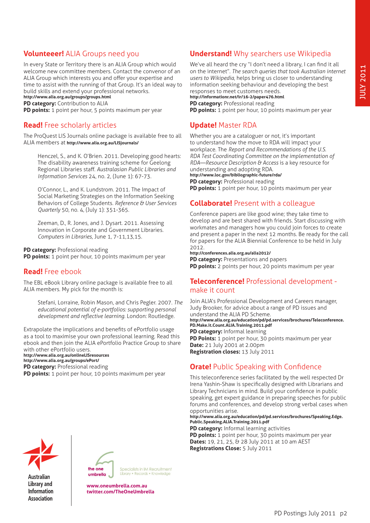# **Volunteeer!** ALIA Groups need you

In every State or Territory there is an ALIA Group which would welcome new committee members. Contact the convenor of an ALIA Group which interests you and offer your expertise and time to assist with the running of that Group. It's an ideal way to build skills and extend your professional networks. **http://www.alia.org.au/groups/groups.html**

**PD category:** Contribution to ALIA

**PD points:** 1 point per hour, 5 points maximum per year

# **Read!** Free scholarly articles

The ProQuest LIS Journals online package is available free to all ALIA members at **http://www.alia.org.au/LISjournals/** 

Henczel, S., and K. O'Brien. 2011. Developing good hearts: The disability awareness training scheme for Geelong Regional Libraries staff. *Australasian Public Libraries and Information Services* 24, no. 2, (June 1): 67-73.

O'Connor, L., and K. Lundstrom. 2011. The Impact of Social Marketing Strategies on the Information Seeking Behaviors of College Students. *Reference & User Services Quarterly* 50, no. 4, (July 1): 351-365.

Zeeman, D., R. Jones, and J. Dysart. 2011. Assessing Innovation in Corporate and Government Libraries. *Computers in Libraries*, June 1, 7-11,13,15.

#### **PD category:** Professional reading

**PD points:** 1 point per hour, 10 points maximum per year

### **Read!** Free ebook

The EBL eBook Library online package is available free to all ALIA members. My pick for the month is:

Stefani, Lorraine, Robin Mason, and Chris Pegler. 2007. *The educational potential of e-portfolios: supporting personal development and reflective learning*. London: Routledge.

Extrapolate the implications and benefits of ePortfolio usage as a tool to maximise your own professional learning. Read this ebook and then join the ALIA ePortfolio Practice Group to share with other ePortfolio users. **http://www.alia.org.au/onlineLISresources** 

**http://www.alia.org.au/groups/ePort/ PD category: Professional reading PD points:** 1 point per hour, 10 points maximum per year

# **Understand!** Why searchers use Wikipedia

We've all heard the cry "I don't need a library, I can find it all on the internet". *The search queries that took Australian internet users to Wikipedia*, helps bring us closer to understanding information seeking behaviour and developing the best responses to meet customers needs. **http://informationr.net/ir/16-2/paper476.html PD category:** Professional reading

**PD points:** 1 point per hour, 10 points maximum per year

# **Update!** Master RDA

Whether you are a cataloguer or not, it's important to understand how the move to RDA will impact your workplace. The *Report and Recommendations of the U.S. RDA Test Coordinating Committee on the implementation of RDA—Resource Description & Access* is a key resource for understanding and adopting RDA. **http://www.loc.gov/bibliographic-future/rda/ PD category: Professional reading** 

**PD points:** 1 point per hour, 10 points maximum per year

### **Collaborate!** Present with a colleague

Conference papers are like good wine; they take time to develop and are best shared with friends. Start discussing with workmates and managers how you could join forces to create and present a paper in the next 12 months. Be ready for the call for papers for the ALIA Biennial Conference to be held in July 2012.

**http://conferences.alia.org.au/alia2012/ PD category:** Presentations and papers

**PD points:** 2 points per hour, 20 points maximum per year

#### **Teleconference!** Professional development make it count

Join ALIA's Professional Development and Careers manager, Judy Brooker, for advice about a range of PD issues and understand the ALIA PD Scheme. **[http://www.alia.org.au/education/pd/pd.services/brochures/Teleconference.](http://www.alia.org.au/education/pd/pd.services/brochures/Teleconference.PD.Make.it.Count.ALIA.Training.2011.pdf) [PD.Make.it.Count.ALIA.Training.2011.pdf](http://www.alia.org.au/education/pd/pd.services/brochures/Teleconference.PD.Make.it.Count.ALIA.Training.2011.pdf) PD category:** Informal learning **PD Points:** 1 point per hour, 30 points maximum per year **Date:** 21 July 2001 at 2.00pm **Registration closes:** 13 July 2011

### **Orate!** Public Speaking with Confidence

This teleconference series facilitated by the well respected Dr Irena Yashin-Shaw is specifically designed with Librarians and Library Technicians in mind. Build your confidence in public speaking, get expert guidance in preparing speeches for public forums and conferences, and develop strong verbal cases when opportunities arise.

**[http://www.alia.org.au/education/pd/pd.services/brochures/Speaking.Edge.](http://www.alia.org.au/education/pd/pd.services/brochures/Speaking.Edge.Public.Speaking.ALIA.Training.2011.pdf) [Public.Speaking.ALIA.Training.2011.pdf](http://www.alia.org.au/education/pd/pd.services/brochures/Speaking.Edge.Public.Speaking.ALIA.Training.2011.pdf)** 

**PD category:** Informal learning activities **PD points:** 1 point per hour, 30 points maximum per year **Dates:** 19, 21, 25, & 28 July 2011 at 10 am AEST **Registrations Close:** 5 July 2011



**Australian Library and Information Association** 



Specialists in IM Recruitment Library • Records • Knowle

**www.oneumbrella.com.au twitter.com/TheOneUmbrella**